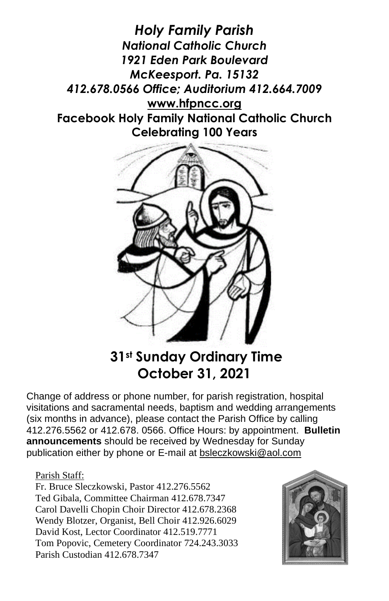*Holy Family Parish National Catholic Church 1921 Eden Park Boulevard McKeesport. Pa. 15132 412.678.0566 Office; Auditorium 412.664.7009* **[www.hfpncc.org](http://www.hfpncc.org/) Facebook Holy Family National Catholic Church Celebrating 100 Years**



# **31st Sunday Ordinary Time October 31, 2021**

Change of address or phone number, for parish registration, hospital visitations and sacramental needs, baptism and wedding arrangements (six months in advance), please contact the Parish Office by calling 412.276.5562 or 412.678. 0566. Office Hours: by appointment. **Bulletin announcements** should be received by Wednesday for Sunday publication either by phone or E-mail at [bsleczkowski@aol.com](mailto:bsleczkowski@aol.com)

#### Parish Staff:

Fr. Bruce Sleczkowski, Pastor 412.276.5562 Ted Gibala, Committee Chairman 412.678.7347 Carol Davelli Chopin Choir Director 412.678.2368 Wendy Blotzer, Organist, Bell Choir 412.926.6029 David Kost, Lector Coordinator 412.519.7771 Tom Popovic, Cemetery Coordinator 724.243.3033 Parish Custodian 412.678.7347

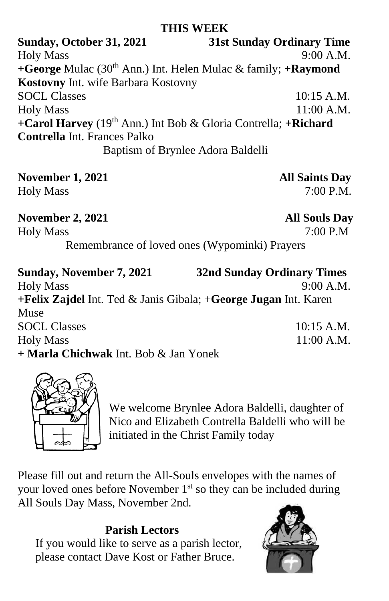#### **THIS WEEK**

**Sunday, October 31, 2021 31st Sunday Ordinary Time** Holy Mass 9:00 A.M. **+George** Mulac (30th Ann.) Int. Helen Mulac & family; **+Raymond Kostovny** Int. wife Barbara Kostovny SOCL Classes 10:15 A.M. Holy Mass 11:00 A.M. **+Carol Harvey** (19th Ann.) Int Bob & Gloria Contrella; **+Richard Contrella** Int. Frances Palko Baptism of Brynlee Adora Baldelli

**November 1, 2021 All Saints Day** Holy Mass 7:00 P.M.

# **November 2, 2021 All Souls Day**<br> **Holy Mass 7:00 P.M**

Holy Mass

Remembrance of loved ones (Wypominki) Prayers

| <b>Sunday, November 7, 2021</b>                                 | <b>32nd Sunday Ordinary Times</b> |
|-----------------------------------------------------------------|-----------------------------------|
| <b>Holy Mass</b>                                                | 9:00 A.M.                         |
| +Felix Zajdel Int. Ted & Janis Gibala; +George Jugan Int. Karen |                                   |
| Muse                                                            |                                   |
| <b>SOCL Classes</b>                                             | 10:15 A.M.                        |
| <b>Holy Mass</b>                                                | $11:00$ A.M.                      |
| + Marla Chichwak Int. Bob & Jan Yonek                           |                                   |



We welcome Brynlee Adora Baldelli, daughter of Nico and Elizabeth Contrella Baldelli who will be initiated in the Christ Family today

Please fill out and return the All-Souls envelopes with the names of your loved ones before November 1<sup>st</sup> so they can be included during All Souls Day Mass, November 2nd.

#### **Parish Lectors**

If you would like to serve as a parish lector, please contact Dave Kost or Father Bruce.

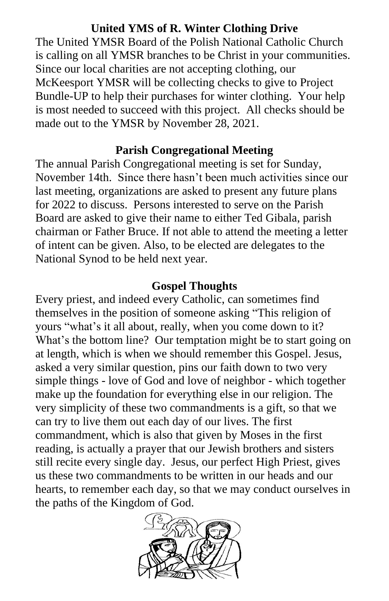### **United YMS of R. Winter Clothing Drive**

The United YMSR Board of the Polish National Catholic Church is calling on all YMSR branches to be Christ in your communities. Since our local charities are not accepting clothing, our McKeesport YMSR will be collecting checks to give to Project Bundle-UP to help their purchases for winter clothing. Your help is most needed to succeed with this project. All checks should be made out to the YMSR by November 28, 2021.

### **Parish Congregational Meeting**

The annual Parish Congregational meeting is set for Sunday, November 14th. Since there hasn't been much activities since our last meeting, organizations are asked to present any future plans for 2022 to discuss. Persons interested to serve on the Parish Board are asked to give their name to either Ted Gibala, parish chairman or Father Bruce. If not able to attend the meeting a letter of intent can be given. Also, to be elected are delegates to the National Synod to be held next year.

#### **Gospel Thoughts**

Every priest, and indeed every Catholic, can sometimes find themselves in the position of someone asking "This religion of yours "what's it all about, really, when you come down to it? What's the bottom line? Our temptation might be to start going on at length, which is when we should remember this Gospel. Jesus, asked a very similar question, pins our faith down to two very simple things - love of God and love of neighbor - which together make up the foundation for everything else in our religion. The very simplicity of these two commandments is a gift, so that we can try to live them out each day of our lives. The first commandment, which is also that given by Moses in the first reading, is actually a prayer that our Jewish brothers and sisters still recite every single day. Jesus, our perfect High Priest, gives us these two commandments to be written in our heads and our hearts, to remember each day, so that we may conduct ourselves in the paths of the Kingdom of God.